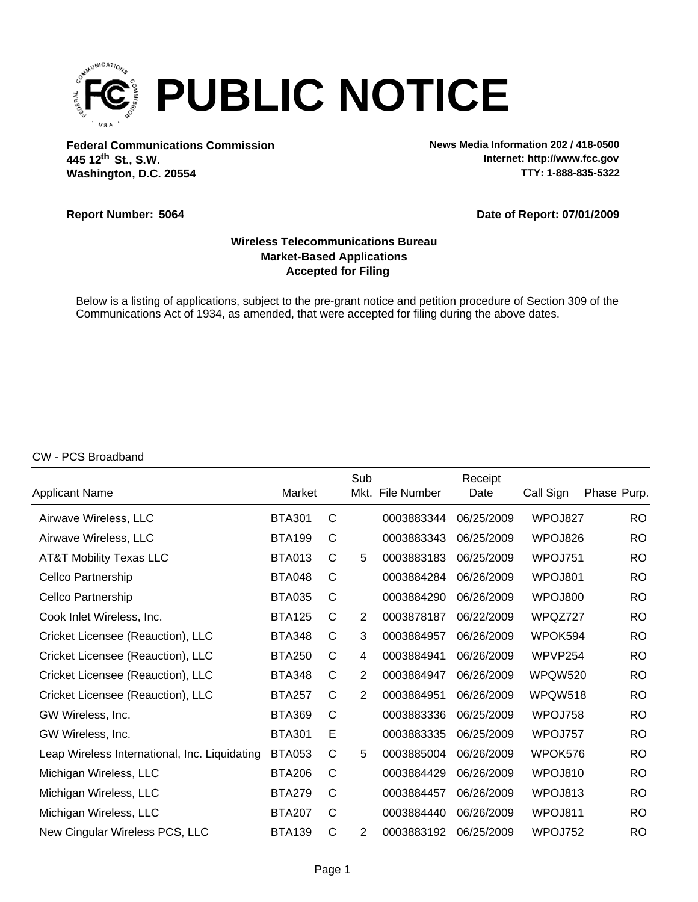

**Federal Communications Commission News Media Information 202 / 418-0500 Washington, D.C. 20554 th 445 12 St., S.W.**

**Internet: http://www.fcc.gov TTY: 1-888-835-5322**

#### **Report Number: 5064**

#### **Date of Report: 07/01/2009**

## **Accepted for Filing Market-Based Applications Wireless Telecommunications Bureau**

Below is a listing of applications, subject to the pre-grant notice and petition procedure of Section 309 of the Communications Act of 1934, as amended, that were accepted for filing during the above dates.

#### CW - PCS Broadband

|                                               |               |   | Sub            |             | Receipt    |           |             |
|-----------------------------------------------|---------------|---|----------------|-------------|------------|-----------|-------------|
| Applicant Name                                | Market        |   | Mkt.           | File Number | Date       | Call Sign | Phase Purp. |
| Airwave Wireless, LLC                         | <b>BTA301</b> | C |                | 0003883344  | 06/25/2009 | WPOJ827   | <b>RO</b>   |
| Airwave Wireless, LLC                         | <b>BTA199</b> | C |                | 0003883343  | 06/25/2009 | WPOJ826   | <b>RO</b>   |
| AT&T Mobility Texas LLC                       | <b>BTA013</b> | C | 5              | 0003883183  | 06/25/2009 | WPOJ751   | <b>RO</b>   |
| Cellco Partnership                            | <b>BTA048</b> | C |                | 0003884284  | 06/26/2009 | WPOJ801   | <b>RO</b>   |
| Cellco Partnership                            | <b>BTA035</b> | C |                | 0003884290  | 06/26/2009 | WPOJ800   | <b>RO</b>   |
| Cook Inlet Wireless, Inc.                     | <b>BTA125</b> | С | 2              | 0003878187  | 06/22/2009 | WPQZ727   | <b>RO</b>   |
| Cricket Licensee (Reauction), LLC             | <b>BTA348</b> | С | 3              | 0003884957  | 06/26/2009 | WPOK594   | <b>RO</b>   |
| Cricket Licensee (Reauction), LLC             | <b>BTA250</b> | С | 4              | 0003884941  | 06/26/2009 | WPVP254   | <b>RO</b>   |
| Cricket Licensee (Reauction), LLC             | <b>BTA348</b> | C | $\overline{2}$ | 0003884947  | 06/26/2009 | WPQW520   | <b>RO</b>   |
| Cricket Licensee (Reauction), LLC             | <b>BTA257</b> | C | $\overline{2}$ | 0003884951  | 06/26/2009 | WPQW518   | <b>RO</b>   |
| GW Wireless, Inc.                             | <b>BTA369</b> | C |                | 0003883336  | 06/25/2009 | WPOJ758   | <b>RO</b>   |
| GW Wireless, Inc.                             | <b>BTA301</b> | E |                | 0003883335  | 06/25/2009 | WPOJ757   | <b>RO</b>   |
| Leap Wireless International, Inc. Liquidating | <b>BTA053</b> | C | 5              | 0003885004  | 06/26/2009 | WPOK576   | <b>RO</b>   |
| Michigan Wireless, LLC                        | <b>BTA206</b> | C |                | 0003884429  | 06/26/2009 | WPOJ810   | <b>RO</b>   |
| Michigan Wireless, LLC                        | <b>BTA279</b> | C |                | 0003884457  | 06/26/2009 | WPOJ813   | <b>RO</b>   |
| Michigan Wireless, LLC                        | <b>BTA207</b> | C |                | 0003884440  | 06/26/2009 | WPOJ811   | <b>RO</b>   |
| New Cingular Wireless PCS, LLC                | <b>BTA139</b> | C | $\overline{2}$ | 0003883192  | 06/25/2009 | WPOJ752   | <b>RO</b>   |